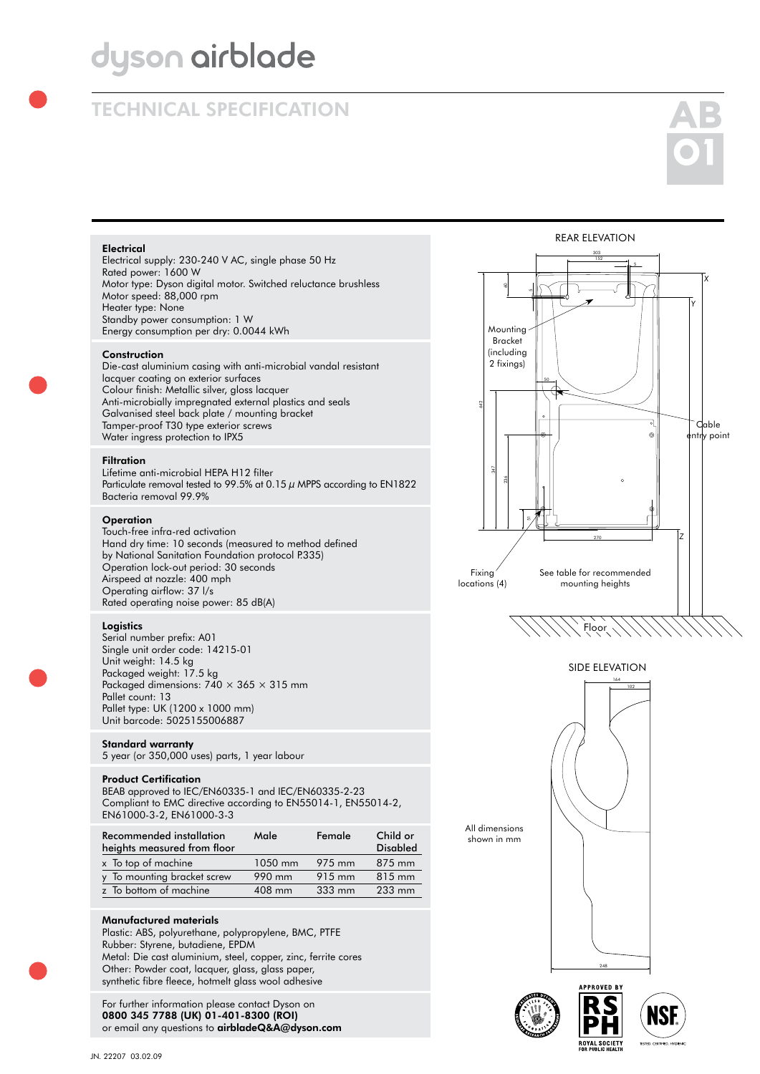# dyson airblade

# TECHNICAL SPECIFICATION



# **Electrical**

Electrical supply: 230-240 V AC, single phase 50 Hz Rated power: 1600 W Motor type: Dyson digital motor. Switched reluctance brushless Motor speed: 88,000 rpm Heater type: None Standby power consumption: 1 W Energy consumption per dry: 0.0044 kWh

# **Construction**

Die-cast aluminium casing with anti-microbial vandal resistant lacquer coating on exterior surfaces Colour finish: Metallic silver, gloss lacquer Anti-microbially impregnated external plastics and seals Galvanised steel back plate / mounting bracket Tamper-proof T30 type exterior screws Water ingress protection to IPX5

#### **Filtration**

Lifetime anti-microbial HEPA H12 filter Particulate removal tested to 99.5% at 0.15  $\mu$  MPPS according to EN1822 Bacteria removal 99.9%

### **Operation**

Touch-free infra-red activation Hand dry time: 10 seconds (measured to method defined by National Sanitation Foundation protocol P.335) Operation lock-out period: 30 seconds Airspeed at nozzle: 400 mph Operating airflow: 37 l/s Rated operating noise power: 85 dB(A)

#### **Logistics**

Serial number prefix: A01 Single unit order code: 14215-01 Unit weight: 14.5 kg Packaged weight: 17.5 kg Packaged dimensions:  $740 \times 365 \times 315$  mm Pallet count: 13 Pallet type: UK (1200 x 1000 mm) Unit barcode: 5025155006887 60 5

# Standard warranty

5 year (or 350,000 uses) parts, 1 year labour

# Product Certification

BEAB approved to IEC/EN60335-1 and IEC/EN60335-2-23 Compliant to EMC directive according to EN55014-1, EN55014-2, 50 EN61000-3-2, EN61000-3-3

| Recommended installation<br>heights measured from floor | Male    | Female           | Child or<br><b>Disabled</b> |
|---------------------------------------------------------|---------|------------------|-----------------------------|
| x To top of machine                                     | 1050 mm | 975 mm           | 875 mm                      |
| y To mounting bracket screw                             | 990 mm  | 915 mm           | 815 mm                      |
| z To bottom of machine                                  | 408 mm  | $333 \text{ mm}$ | 233 mm                      |
|                                                         |         |                  |                             |

### Manufactured materials

Plastic: ABS, polyurethane, polypropylene, BMC, PTFE Rubber: Styrene, butadiene, EPDM Metal: Die cast aluminium, steel, copper, zinc, ferrite cores Other: Powder coat, lacquer, glass, glass paper, synthetic fibre fleece, hotmelt glass wool adhesive

For further information please contact Dyson on 0800 345 7788 (UK) 01-401-8300 (ROI) or email any questions to airbladeQ&A@dyson.com







ROYAL SOCIETY

shown in mm